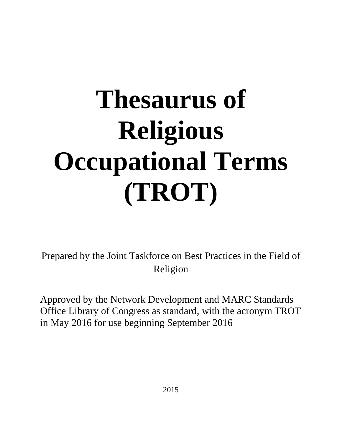# **Thesaurus of Religious Occupational Terms (TROT)**

Prepared by the Joint Taskforce on Best Practices in the Field of Religion

Approved by the Network Development and MARC Standards Office Library of Congress as standard, with the acronym TROT in May 2016 for use beginning September 2016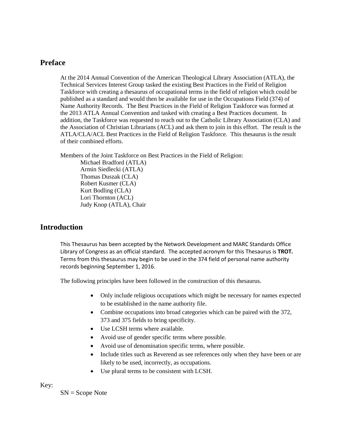# **Preface**

At the 2014 Annual Convention of the American Theological Library Association (ATLA), the Technical Services Interest Group tasked the existing Best Practices in the Field of Religion Taskforce with creating a thesaurus of occupational terms in the field of religion which could be published as a standard and would then be available for use in the Occupations Field (374) of Name Authority Records. The Best Practices in the Field of Religion Taskforce was formed at the 2013 ATLA Annual Convention and tasked with creating a Best Practices document. In addition, the Taskforce was requested to reach out to the Catholic Library Association (CLA) and the Association of Christian Librarians (ACL) and ask them to join in this effort. The result is the ATLA/CLA/ACL Best Practices in the Field of Religion Taskforce. This thesaurus is the result of their combined efforts.

Members of the Joint Taskforce on Best Practices in the Field of Religion:

Michael Bradford (ATLA) Armin Siedlecki (ATLA) Thomas Duszak (CLA) Robert Kusmer (CLA) Kurt Bodling (CLA) Lori Thornton (ACL) Judy Knop (ATLA), Chair

# **Introduction**

This Thesaurus has been accepted by the Network Development and MARC Standards Office Library of Congress as an official standard. The accepted acronym for this Thesaurus is **TROT.** Terms from this thesaurus may begin to be used in the 374 field of personal name authority records beginning September 1, 2016.

The following principles have been followed in the construction of this thesaurus.

- Only include religious occupations which might be necessary for names expected to be established in the name authority file.
- Combine occupations into broad categories which can be paired with the 372, 373 and 375 fields to bring specificity.
- Use LCSH terms where available.
- Avoid use of gender specific terms where possible.
- Avoid use of denomination specific terms, where possible.
- Include titles such as Reverend as see references only when they have been or are likely to be used, incorrectly, as occupations.
- Use plural terms to be consistent with LCSH.

Key:

SN = Scope Note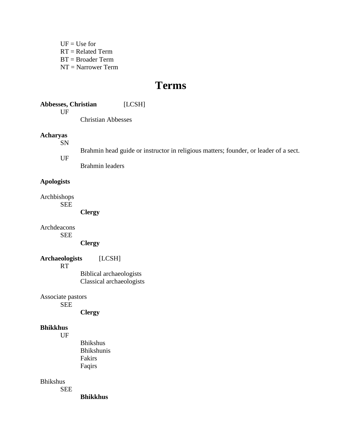$UF = Use for$ RT = Related Term BT = Broader Term NT = Narrower Term

# **Terms**

**Abbesses, Christian** [LCSH] UF Christian Abbesses

#### **Acharyas**

SN

Brahmin head guide or instructor in religious matters; founder, or leader of a sect.

UF

Brahmin leaders

#### **Apologists**

Archbishops SEE

**Clergy**

Archdeacons

SEE

**Clergy**

**Archaeologists** [LCSH]

RT

Biblical archaeologists Classical archaeologists

Associate pastors SEE

**Clergy**

#### **Bhikkhus**

UF

Bhikshus Bhikshunis Fakirs Faqirs

Bhikshus

SEE

**Bhikkhus**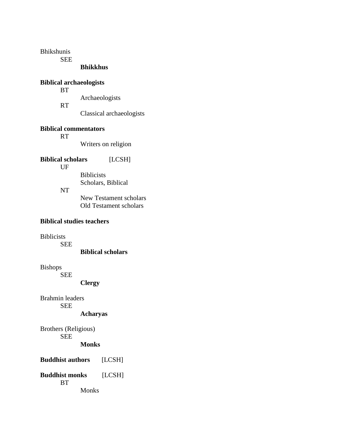Bhikshunis

SEE

#### **Bhikkhus**

# **Biblical archaeologists**

**BT** Archaeologists RT Classical archaeologists

#### **Biblical commentators**

RT

Writers on religion

# **Biblical scholars** [LCSH]

UF

Biblicists Scholars, Biblical

NT

New Testament scholars Old Testament scholars

# **Biblical studies teachers**

Biblicists

SEE

**Biblical scholars**

Bishops

SEE

**Clergy**

Brahmin leaders SEE

**Acharyas**

Brothers (Religious) SEE **Monks**

**Buddhist authors** [LCSH] **Buddhist monks** [LCSH]

**BT** 

Monks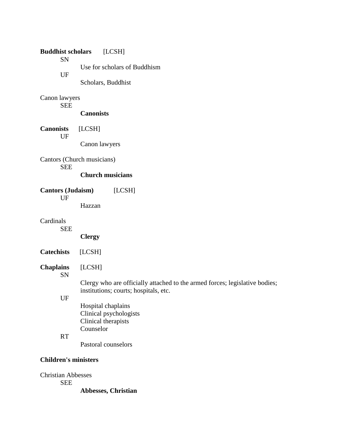| <b>Buddhist scholars</b><br><b>SN</b>   | [LCSH]                                                                                                               |  |
|-----------------------------------------|----------------------------------------------------------------------------------------------------------------------|--|
| UF                                      | Use for scholars of Buddhism                                                                                         |  |
|                                         | Scholars, Buddhist                                                                                                   |  |
| Canon lawyers                           |                                                                                                                      |  |
| <b>SEE</b>                              | <b>Canonists</b>                                                                                                     |  |
| <b>Canonists</b><br>UF                  | [LCSH]                                                                                                               |  |
|                                         | Canon lawyers                                                                                                        |  |
| Cantors (Church musicians)              |                                                                                                                      |  |
| <b>SEE</b>                              | <b>Church musicians</b>                                                                                              |  |
| <b>Cantors (Judaism)</b><br>[LCSH]      |                                                                                                                      |  |
| UF                                      | Hazzan                                                                                                               |  |
| Cardinals<br><b>SEE</b>                 |                                                                                                                      |  |
|                                         | <b>Clergy</b>                                                                                                        |  |
| <b>Catechists</b>                       | [LCSH]                                                                                                               |  |
| <b>Chaplains</b><br><b>SN</b>           | [LCSH]                                                                                                               |  |
|                                         | Clergy who are officially attached to the armed forces; legislative bodies;<br>institutions; courts; hospitals, etc. |  |
| UF                                      | Hospital chaplains                                                                                                   |  |
|                                         | Clinical psychologists<br>Clinical therapists                                                                        |  |
| <b>RT</b>                               | Counselor                                                                                                            |  |
|                                         | Pastoral counselors                                                                                                  |  |
| <b>Children's ministers</b>             |                                                                                                                      |  |
| <b>Christian Abbesses</b><br><b>SEE</b> |                                                                                                                      |  |

**Abbesses, Christian**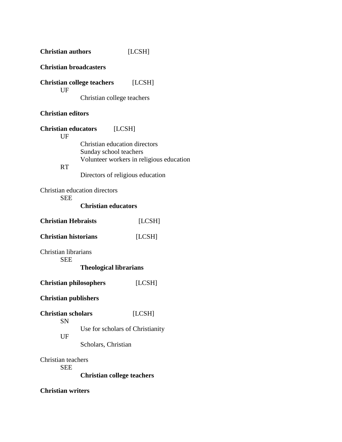| <b>Christian authors</b>                   |                                                         | [LCSH]                                   |
|--------------------------------------------|---------------------------------------------------------|------------------------------------------|
| <b>Christian broadcasters</b>              |                                                         |                                          |
| UF                                         | <b>Christian college teachers</b> [LCSH]                |                                          |
|                                            | Christian college teachers                              |                                          |
| <b>Christian editors</b>                   |                                                         |                                          |
| <b>Christian educators</b><br>[LCSH]<br>UF |                                                         |                                          |
|                                            | Christian education directors<br>Sunday school teachers | Volunteer workers in religious education |
| <b>RT</b>                                  | Directors of religious education                        |                                          |
| <b>SEE</b>                                 | Christian education directors                           |                                          |
|                                            | <b>Christian educators</b>                              |                                          |
| <b>Christian Hebraists</b><br>[LCSH]       |                                                         |                                          |
| <b>Christian historians</b>                |                                                         | [LCSH]                                   |
| Christian librarians<br><b>SEE</b>         |                                                         |                                          |
|                                            | <b>Theological librarians</b>                           |                                          |
| <b>Christian philosophers</b>              |                                                         | [LCSH]                                   |
| <b>Christian publishers</b>                |                                                         |                                          |
| <b>Christian scholars</b><br><b>SN</b>     |                                                         | [LCSH]                                   |
| UF                                         | Use for scholars of Christianity                        |                                          |
|                                            | Scholars, Christian                                     |                                          |
| Christian teachers<br><b>SEE</b>           |                                                         |                                          |
|                                            | <b>Christian college teachers</b>                       |                                          |
| <b>Christian writers</b>                   |                                                         |                                          |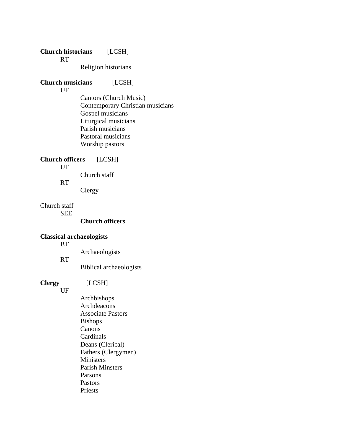# **Church historians** [LCSH]

RT

Religion historians

# **Church musicians** [LCSH]

UF

Cantors (Church Music) Contemporary Christian musicians Gospel musicians Liturgical musicians Parish musicians Pastoral musicians Worship pastors

#### **Church officers** [LCSH]

UF

Church staff

RT

Clergy

Church staff SEE

**Church officers**

# **Classical archaeologists**

**BT** 

Archaeologists

RT

Biblical archaeologists

# **Clergy** [LCSH]

UF

Archbishops Archdeacons Associate Pastors Bishops Canons Cardinals Deans (Clerical) Fathers (Clergymen) Ministers Parish Minsters Parsons Pastors Priests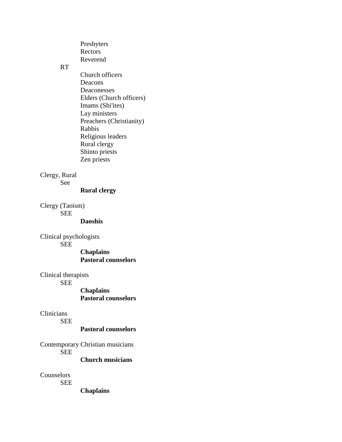Presbyters Rectors Reverend

### RT

Church officers Deacons Deaconesses Elders (Church officers) Imams (Shi'ites) Lay ministers Preachers (Christianity) Rabbis Religious leaders Rural clergy Shinto priests Zen priests

# Clergy, Rural

See

#### **Rural clergy**

Clergy (Taoism) SEE

#### **Daoshis**

Clinical psychologists SEE

> **Chaplains Pastoral counselors**

#### Clinical therapists

SEE

**Chaplains Pastoral counselors**

# Clinicians

SEE

**Pastoral counselors**

Contemporary Christian musicians **SEE** 

**Church musicians**

Counselors

SEE

**Chaplains**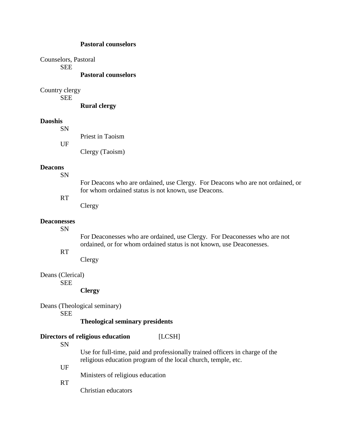#### **Pastoral counselors**

Counselors, Pastoral SEE **Pastoral counselors**

Country clergy

SEE

**Rural clergy**

#### **Daoshis**

| <b>SN</b> |                  |
|-----------|------------------|
|           | Priest in Taoism |
| UF        |                  |
|           | Clergy (Taoism)  |

# **Deacons**

SN

For Deacons who are ordained, use Clergy. For Deacons who are not ordained, or for whom ordained status is not known, use Deacons.

# RT

Clergy

#### **Deaconesses**

SN

For Deaconesses who are ordained, use Clergy. For Deaconesses who are not ordained, or for whom ordained status is not known, use Deaconesses.

# RT

Clergy

# Deans (Clerical)

SEE

#### **Clergy**

Deans (Theological seminary)

SEE

#### **Theological seminary presidents**

# **Directors of religious education** [LCSH]

SN

Use for full-time, paid and professionally trained officers in charge of the religious education program of the local church, temple, etc.

#### UF

Ministers of religious education

RT

Christian educators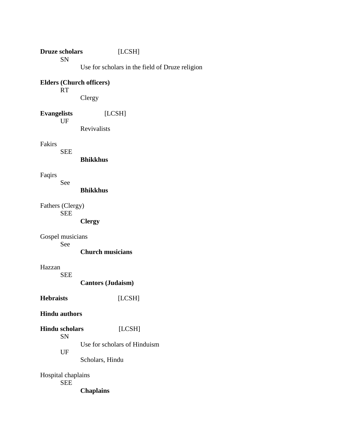**Druze scholars** [LCSH] SN Use for scholars in the field of Druze religion

#### **Elders (Church officers)** RT

Clergy

**Evangelists** [LCSH] UF

Revivalists

Fakirs

SEE

**Bhikkhus**

Faqirs

See

**Bhikkhus**

Fathers (Clergy) SEE

# **Clergy**

Gospel musicians

See

# **Church musicians**

# Hazzan

SEE

**Cantors (Judaism)**

**Hebraists** [LCSH]

# **Hindu authors**

**Hindu scholars** [LCSH] SN Use for scholars of Hinduism UF

Scholars, Hindu

Hospital chaplains SEE

**Chaplains**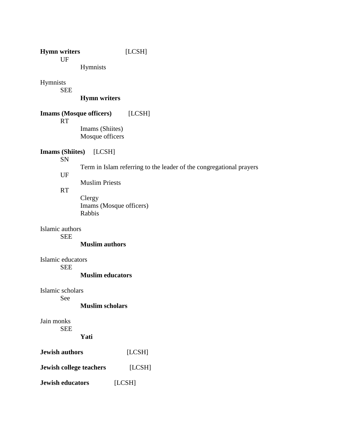# **Hymn writers** [LCSH]

UF

Hymnists

Hymnists

SEE

# **Hymn writers**

# **Imams (Mosque officers)** [LCSH]

RT

Imams (Shiites) Mosque officers

# **Imams (Shiites)** [LCSH]

SN

Term in Islam referring to the leader of the congregational prayers

UF

Muslim Priests

#### RT

Clergy Imams (Mosque officers) Rabbis

Islamic authors

SEE

**Muslim authors**

Islamic educators SEE

# **Muslim educators**

Islamic scholars See

#### **Muslim scholars**

Jain monks SEE

# **Yati**

| <b>Jewish authors</b>          | [LCSH] |  |
|--------------------------------|--------|--|
| <b>Jewish college teachers</b> | [LCSH] |  |
| <b>Jewish educators</b>        | [LCSH] |  |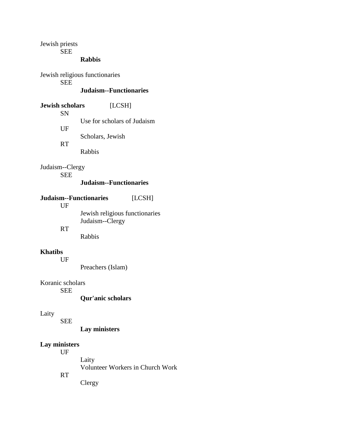Jewish priests

SEE

# **Rabbis**

Jewish religious functionaries SEE **Judaism--Functionaries**

**Jewish scholars** [LCSH] SN Use for scholars of Judaism UF Scholars, Jewish RT Rabbis

Judaism--Clergy SEE

#### **Judaism--Functionaries**

|           | Judaism--Functionaries         | [LCSH] |
|-----------|--------------------------------|--------|
| UF        |                                |        |
|           | Jewish religious functionaries |        |
|           | Judaism--Clergy                |        |
| <b>RT</b> |                                |        |
|           | Rabbis                         |        |

#### **Khatibs**

UF

Preachers (Islam)

Koranic scholars

SEE

**Qur'anic scholars**

# Laity

SEE

**Lay ministers**

# **Lay ministers**

UF

Laity

Volunteer Workers in Church Work

RT

Clergy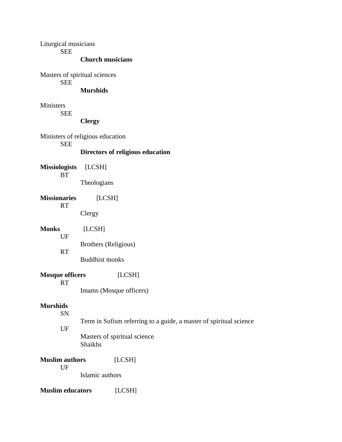| Liturgical musicians<br><b>SEE</b> |                                                                    |  |  |
|------------------------------------|--------------------------------------------------------------------|--|--|
|                                    | <b>Church musicians</b>                                            |  |  |
| <b>SEE</b>                         | Masters of spiritual sciences                                      |  |  |
|                                    | <b>Murshids</b>                                                    |  |  |
| Ministers                          |                                                                    |  |  |
| <b>SEE</b>                         | <b>Clergy</b>                                                      |  |  |
|                                    | Ministers of religious education                                   |  |  |
| <b>SEE</b>                         | Directors of religious education                                   |  |  |
| <b>Missiologists</b>               | [LCSH]                                                             |  |  |
| <b>BT</b>                          | Theologians                                                        |  |  |
| <b>Missionaries</b>                | [LCSH]                                                             |  |  |
| <b>RT</b>                          | Clergy                                                             |  |  |
| <b>Monks</b>                       | [LCSH]                                                             |  |  |
| UF                                 | Brothers (Religious)                                               |  |  |
| <b>RT</b>                          | <b>Buddhist monks</b>                                              |  |  |
| <b>Mosque officers</b>             | [LCSH]                                                             |  |  |
| <b>RT</b>                          | Imams (Mosque officers)                                            |  |  |
| <b>Murshids</b>                    |                                                                    |  |  |
| SN                                 | Term in Sufism referring to a guide, a master of spiritual science |  |  |
| UF                                 | Masters of spiritual science<br>Shaikhs                            |  |  |
| <b>Muslim authors</b>              | [LCSH]                                                             |  |  |
| UF                                 | Islamic authors                                                    |  |  |
| <b>Muslim educators</b>            | [LCSH]                                                             |  |  |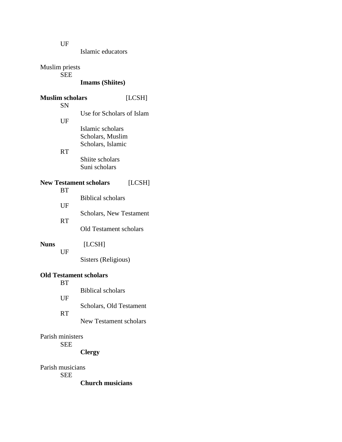Islamic educators

Muslim priests

SEE

# **Imams (Shiites)**

| <b>Muslim scholars</b> |            | [LCSH]                         |        |
|------------------------|------------|--------------------------------|--------|
|                        | <b>SN</b>  |                                |        |
|                        |            | Use for Scholars of Islam      |        |
| UF                     |            |                                |        |
|                        |            | Islamic scholars               |        |
|                        |            | Scholars, Muslim               |        |
|                        |            | Scholars, Islamic              |        |
|                        | <b>RT</b>  |                                |        |
|                        |            | Shiite scholars                |        |
|                        |            | Suni scholars                  |        |
|                        |            |                                |        |
|                        | <b>BT</b>  | <b>New Testament scholars</b>  | [LCSH] |
|                        |            | <b>Biblical scholars</b>       |        |
|                        | UF         |                                |        |
|                        |            | <b>Scholars, New Testament</b> |        |
|                        | <b>RT</b>  |                                |        |
|                        |            | <b>Old Testament scholars</b>  |        |
|                        |            |                                |        |
| <b>Nuns</b>            |            | [LCSH]                         |        |
|                        | UF         |                                |        |
|                        |            | Sisters (Religious)            |        |
|                        |            | <b>Old Testament scholars</b>  |        |
|                        | <b>BT</b>  |                                |        |
|                        |            | <b>Biblical scholars</b>       |        |
|                        | UF         |                                |        |
|                        |            | Scholars, Old Testament        |        |
|                        | <b>RT</b>  |                                |        |
|                        |            | <b>New Testament scholars</b>  |        |
|                        |            |                                |        |
| Parish ministers       |            |                                |        |
|                        | <b>SEE</b> |                                |        |
|                        |            | <b>Clergy</b>                  |        |

Parish musicians SEE

**Church musicians**

UF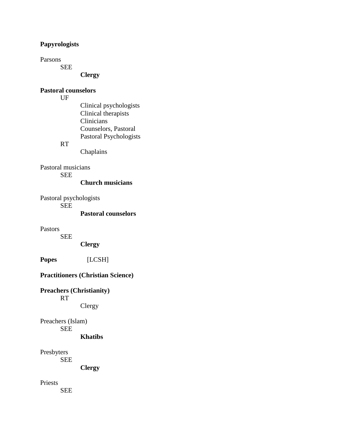# **Papyrologists**

Parsons

SEE

# **Clergy**

# **Pastoral counselors**

UF

Clinical psychologists Clinical therapists **Clinicians** Counselors, Pastoral Pastoral Psychologists

# RT

Chaplains

Pastoral musicians SEE

**Church musicians**

Pastoral psychologists SEE

**Pastoral counselors**

Pastors

SEE

**Clergy**

**Popes** [LCSH]

# **Practitioners (Christian Science)**

**Preachers (Christianity)** RT Clergy

Preachers (Islam) SEE

**Khatibs**

Presbyters

SEE

**Clergy**

Priests

SEE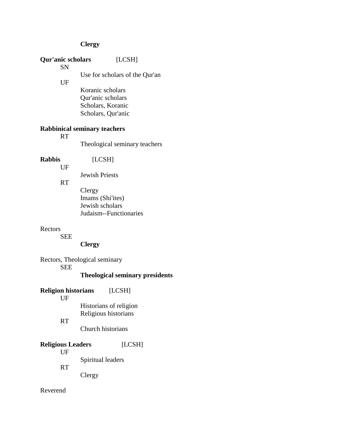# **Clergy**

Reverend

|                                             | Qur'anic scholars<br>SN          | [LCSH]                                                                           |
|---------------------------------------------|----------------------------------|----------------------------------------------------------------------------------|
| UF                                          |                                  | Use for scholars of the Qur'an                                                   |
|                                             |                                  | Koranic scholars<br>Qur'anic scholars<br>Scholars, Koranic<br>Scholars, Qur'anic |
|                                             | <b>RT</b>                        | <b>Rabbinical seminary teachers</b>                                              |
|                                             |                                  | Theological seminary teachers                                                    |
| <b>Rabbis</b>                               | UF                               | [LCSH]                                                                           |
|                                             |                                  | <b>Jewish Priests</b>                                                            |
| <b>RT</b>                                   |                                  | Clergy<br>Imams (Shi'ites)<br>Jewish scholars<br>Judaism--Functionaries          |
| Rectors                                     | <b>SEE</b>                       | <b>Clergy</b>                                                                    |
|                                             |                                  | Rectors, Theological seminary                                                    |
| <b>SEE</b>                                  |                                  | <b>Theological seminary presidents</b>                                           |
|                                             | <b>Religion historians</b><br>UF | [LCSH]                                                                           |
| <b>RT</b>                                   |                                  | Historians of religion<br>Religious historians                                   |
|                                             |                                  | Church historians                                                                |
| <b>Religious Leaders</b><br>UF<br><b>RT</b> |                                  | [LCSH]                                                                           |
|                                             |                                  | Spiritual leaders                                                                |
|                                             |                                  | Clergy                                                                           |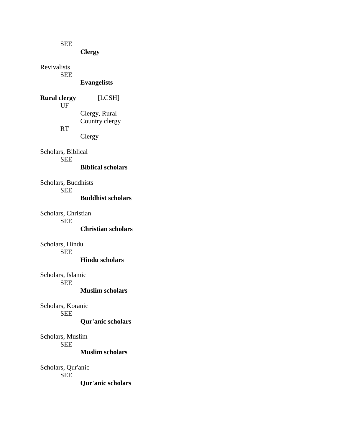SEE

**Clergy**

Revivalists SEE

**Evangelists**

**Rural clergy** [LCSH] UF Clergy, Rural Country clergy RT

Clergy

Scholars, Biblical SEE **Biblical scholars**

Scholars, Buddhists SEE

**Buddhist scholars**

Scholars, Christian SEE **Christian scholars**

Scholars, Hindu SEE

#### **Hindu scholars**

Scholars, Islamic SEE

**Muslim scholars**

Scholars, Koranic SEE

**Qur'anic scholars**

Scholars, Muslim SEE **Muslim scholars**

Scholars, Qur'anic SEE **Qur'anic scholars**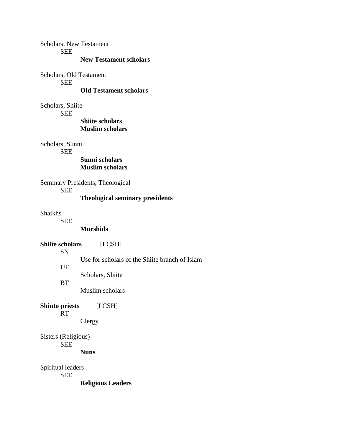Scholars, New Testament

**SEE** 

#### **New Testament scholars**

Scholars, Old Testament SEE

### **Old Testament scholars**

Scholars, Shiite

SEE

#### **Shiite scholars Muslim scholars**

Scholars, Sunni

**SEE** 

### **Sunni scholars Muslim scholars**

Seminary Presidents, Theological

SEE

# **Theological seminary presidents**

Shaikhs

SEE

#### **Murshids**

# **Shiite scholars** [LCSH]

SN

Use for scholars of the Shiite branch of Islam

UF

Scholars, Shiite

**BT** 

Muslim scholars

**Shinto priests** [LCSH] RT

Clergy

Sisters (Religious) SEE

**Nuns**

Spiritual leaders SEE **Religious Leaders**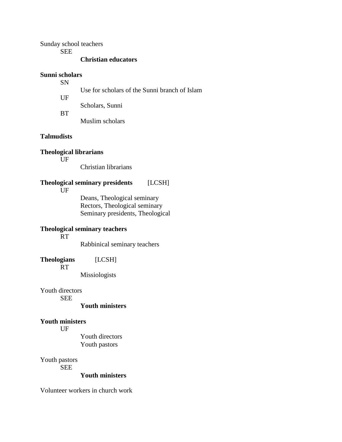Sunday school teachers

SEE

#### **Christian educators**

#### **Sunni scholars**

SN

UF

Use for scholars of the Sunni branch of Islam

Scholars, Sunni

**BT** 

Muslim scholars

# **Talmudists**

**Theological librarians**

UF

Christian librarians

# **Theological seminary presidents** [LCSH]

UF

Deans, Theological seminary Rectors, Theological seminary Seminary presidents, Theological

# **Theological seminary teachers**

RT

Rabbinical seminary teachers

**Theologians** [LCSH]

RT

Missiologists

Youth directors

SEE

#### **Youth ministers**

#### **Youth ministers**

UF

Youth directors Youth pastors

Youth pastors

SEE

#### **Youth ministers**

Volunteer workers in church work